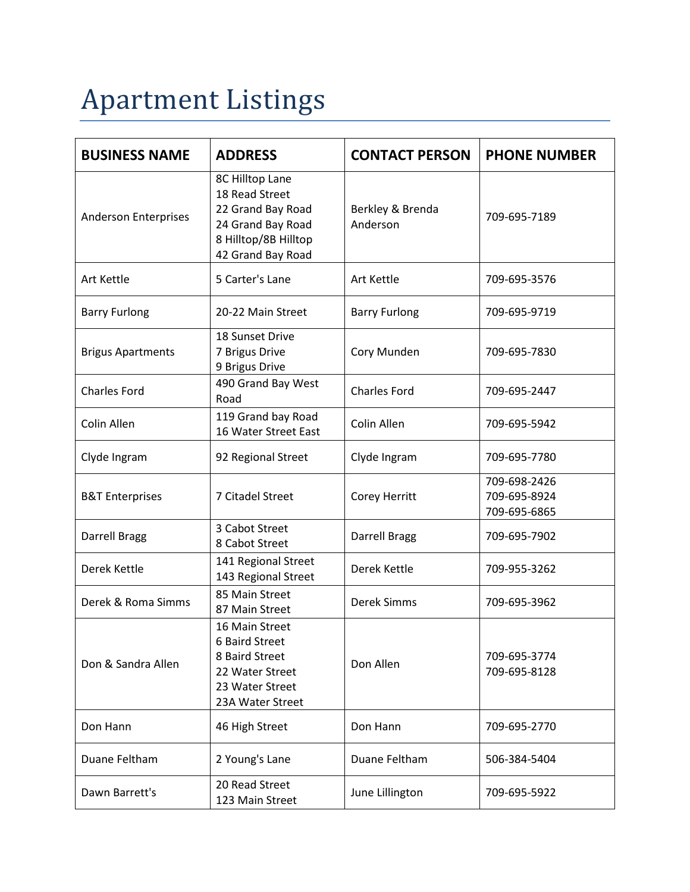## Apartment Listings

| <b>BUSINESS NAME</b>        | <b>ADDRESS</b>                                                                                                           | <b>CONTACT PERSON</b>        | <b>PHONE NUMBER</b>                          |
|-----------------------------|--------------------------------------------------------------------------------------------------------------------------|------------------------------|----------------------------------------------|
| <b>Anderson Enterprises</b> | 8C Hilltop Lane<br>18 Read Street<br>22 Grand Bay Road<br>24 Grand Bay Road<br>8 Hilltop/8B Hilltop<br>42 Grand Bay Road | Berkley & Brenda<br>Anderson | 709-695-7189                                 |
| <b>Art Kettle</b>           | 5 Carter's Lane                                                                                                          | Art Kettle                   | 709-695-3576                                 |
| <b>Barry Furlong</b>        | 20-22 Main Street                                                                                                        | <b>Barry Furlong</b>         | 709-695-9719                                 |
| <b>Brigus Apartments</b>    | 18 Sunset Drive<br>7 Brigus Drive<br>9 Brigus Drive                                                                      | Cory Munden                  | 709-695-7830                                 |
| <b>Charles Ford</b>         | 490 Grand Bay West<br>Road                                                                                               | <b>Charles Ford</b>          | 709-695-2447                                 |
| Colin Allen                 | 119 Grand bay Road<br>16 Water Street East                                                                               | Colin Allen                  | 709-695-5942                                 |
| Clyde Ingram                | 92 Regional Street                                                                                                       | Clyde Ingram                 | 709-695-7780                                 |
| <b>B&amp;T Enterprises</b>  | 7 Citadel Street                                                                                                         | Corey Herritt                | 709-698-2426<br>709-695-8924<br>709-695-6865 |
| Darrell Bragg               | 3 Cabot Street<br>8 Cabot Street                                                                                         | Darrell Bragg                | 709-695-7902                                 |
| Derek Kettle                | 141 Regional Street<br>143 Regional Street                                                                               | Derek Kettle                 | 709-955-3262                                 |
| Derek & Roma Simms          | 85 Main Street<br>87 Main Street                                                                                         | <b>Derek Simms</b>           | 709-695-3962                                 |
| Don & Sandra Allen          | 16 Main Street<br>6 Baird Street<br>8 Baird Street<br>22 Water Street<br>23 Water Street<br>23A Water Street             | Don Allen                    | 709-695-3774<br>709-695-8128                 |
| Don Hann                    | 46 High Street                                                                                                           | Don Hann                     | 709-695-2770                                 |
| Duane Feltham               | 2 Young's Lane                                                                                                           | Duane Feltham                | 506-384-5404                                 |
| Dawn Barrett's              | 20 Read Street<br>123 Main Street                                                                                        | June Lillington              | 709-695-5922                                 |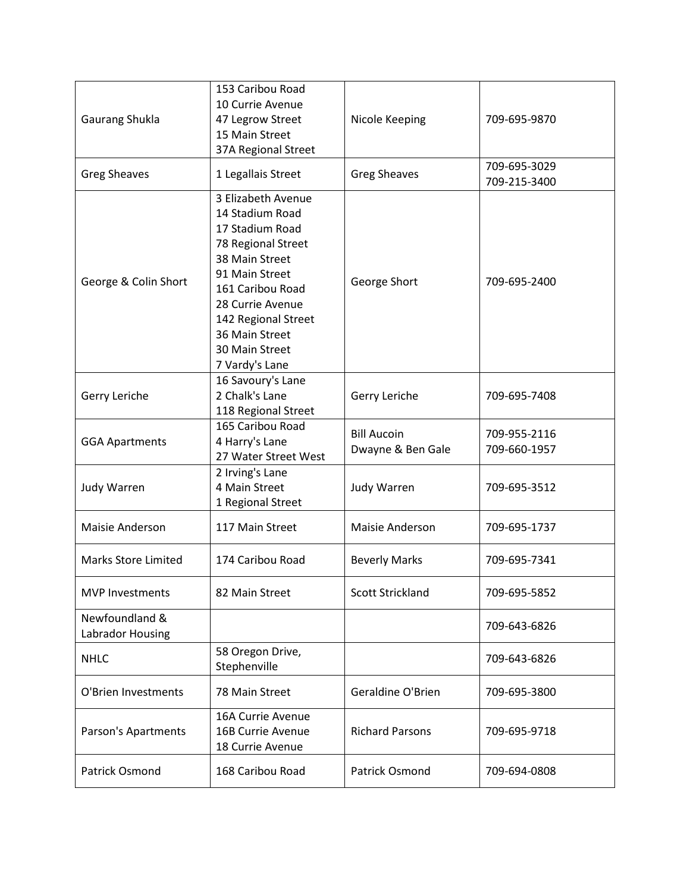| Gaurang Shukla                     | 153 Caribou Road<br>10 Currie Avenue<br>47 Legrow Street<br>15 Main Street<br>37A Regional Street                                                                                                                                       | Nicole Keeping                          | 709-695-9870                 |
|------------------------------------|-----------------------------------------------------------------------------------------------------------------------------------------------------------------------------------------------------------------------------------------|-----------------------------------------|------------------------------|
| <b>Greg Sheaves</b>                | 1 Legallais Street                                                                                                                                                                                                                      | <b>Greg Sheaves</b>                     | 709-695-3029<br>709-215-3400 |
| George & Colin Short               | 3 Elizabeth Avenue<br>14 Stadium Road<br>17 Stadium Road<br>78 Regional Street<br>38 Main Street<br>91 Main Street<br>161 Caribou Road<br>28 Currie Avenue<br>142 Regional Street<br>36 Main Street<br>30 Main Street<br>7 Vardy's Lane | George Short                            | 709-695-2400                 |
| Gerry Leriche                      | 16 Savoury's Lane<br>2 Chalk's Lane<br>118 Regional Street                                                                                                                                                                              | Gerry Leriche                           | 709-695-7408                 |
| <b>GGA Apartments</b>              | 165 Caribou Road<br>4 Harry's Lane<br>27 Water Street West                                                                                                                                                                              | <b>Bill Aucoin</b><br>Dwayne & Ben Gale | 709-955-2116<br>709-660-1957 |
| Judy Warren                        | 2 Irving's Lane<br>4 Main Street<br>1 Regional Street                                                                                                                                                                                   | Judy Warren                             | 709-695-3512                 |
| Maisie Anderson                    | 117 Main Street                                                                                                                                                                                                                         | <b>Maisie Anderson</b>                  | 709-695-1737                 |
| <b>Marks Store Limited</b>         | 174 Caribou Road                                                                                                                                                                                                                        | <b>Beverly Marks</b>                    | 709-695-7341                 |
| <b>MVP Investments</b>             | 82 Main Street                                                                                                                                                                                                                          | <b>Scott Strickland</b>                 | 709-695-5852                 |
| Newfoundland &<br>Labrador Housing |                                                                                                                                                                                                                                         |                                         | 709-643-6826                 |
| <b>NHLC</b>                        | 58 Oregon Drive,<br>Stephenville                                                                                                                                                                                                        |                                         | 709-643-6826                 |
| O'Brien Investments                | 78 Main Street                                                                                                                                                                                                                          | Geraldine O'Brien                       | 709-695-3800                 |
| Parson's Apartments                | 16A Currie Avenue<br>16B Currie Avenue<br>18 Currie Avenue                                                                                                                                                                              | <b>Richard Parsons</b>                  | 709-695-9718                 |
| Patrick Osmond                     | 168 Caribou Road                                                                                                                                                                                                                        | Patrick Osmond                          | 709-694-0808                 |